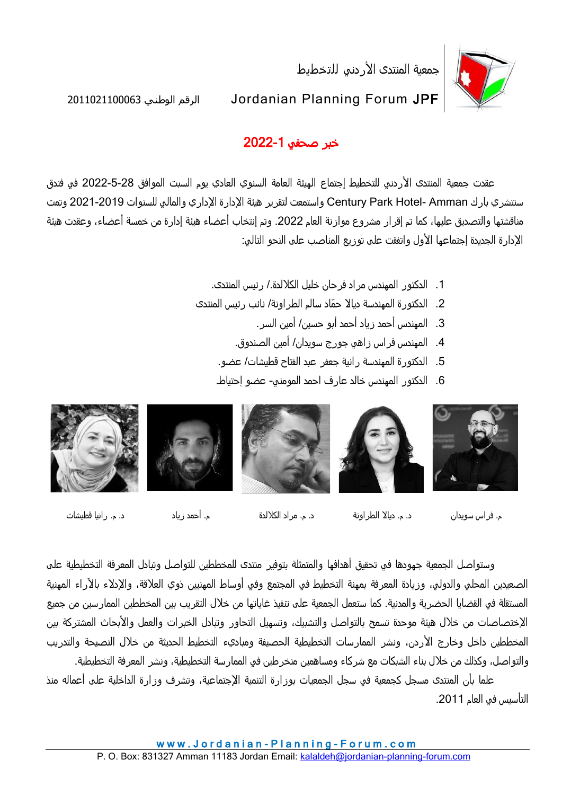جمعية المنتدى الأردني للتخطيط



2011021100063 الوطني الرقم Jordanian Planning Forum JPF

## خبر صحفي 2022-1

عقدت جمعية المنتدى الأردني للتخطيط إجتماع الهيئة العامة السنوي العادي يوم السبت الموافق 28-5-2022 في فندق سنتشري بارك Century Park Hotel- Amman واستمعت لتقرير هيئة الإدارة الإداري والمالي للسنوات 2019-2021 وتمت مناقشتها والتصديق عليها، كما تم إقرار مشروع موازنة العام .2022 وتم إنتخاب أعضاء هيئة إدارة من خمسة أعضاء، وعقدت هيئة الإدارة الجديدة إجتماعها الأول واتفقت على توزيع المناصب على النحو التالي:

- .1 الدكتور المهندس مراد فرحان خليل الكاللدة/. رئيس المنتدى.
- .2 الدكتورة المهندسة دياال حّماد سالم الطراونة/ نائب رئيس المنتدى
	- .3 المهندس أحمد زياد أحمد أبو حسين/ أمين السر.
	- .4 المهندس فراس زاهي جورج سويدان/ أمين الصندوق.
	- .5 الدكتورة المهندسة رانية جعفر عبد الفتاح قطيشات/ عضو.
	- .6 الدكتور المهندس خالد عارف احمد المومني- عضو إحتياط.



م. فراس سويدان د. م. دياال الطراونة د. م. مراد الكاللدة م. أحمد زياد د. م. رانيا قطيشات

وستواصل الجمعية جهودها في تحقيق أهدافها والمتمثلة بتوفير منتدى للمخططين للتواصل وتبادل المعرفة التخطيطية على الصعيدين المحلي والدولي، وزيادة المعرفة بمهنة التخطيط في المجتمع وفي أوساط المهنيين ذوي العلاقة، والإدلاء بالآراء المهنية المستقلة في القضايا الحضرية والمدنية. كما ستعمل الجمعية على تنفيذ غاياتها من خالل التقريب بين المخططين الممارسين من جميع الإختصاصات من خلال هيئة موحدة تسمح بالتواصل والتشبيك، وتسهيل التحاور وتبادل الخبرات والعمل والأبحاث المشتركة بين المخططين داخل وخارج الأردن، ونشر الممارسات التخطيطية الحصيفة ومباديء التخطيط الحديثة من خلال النصيحة والتدريب والتواصل، وكذلك من خالل بناء الشبكات مع شركاء ومساهمين منخرطين في الممارسة التخطيطية، ونشر المعرفة التخطيطية.

علما بأن المنتدي مسجل كجمعية في سجل الجمعيات بوزارة التنمية الإجتماعية، وتشرف وزارة الداخلية على أعماله منذ التأسيس في العام .2011